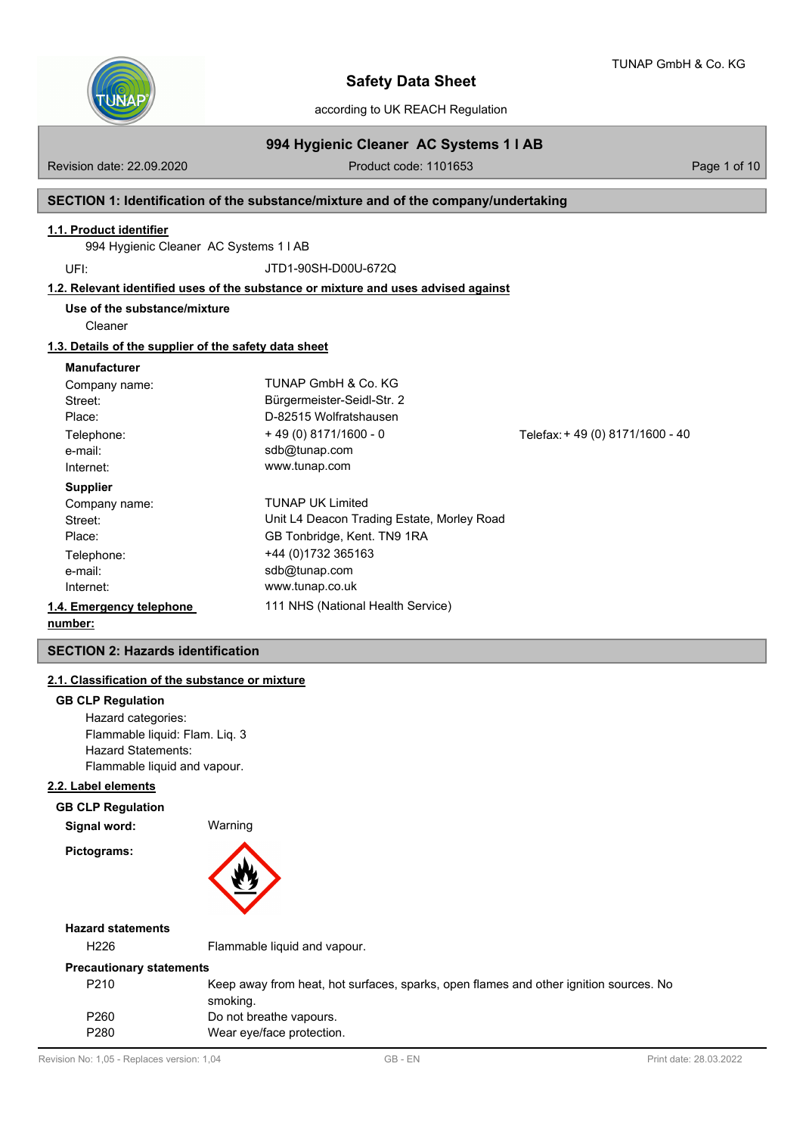

TUNAP GmbH & Co. KG

according to UK REACH Regulation

# **994 Hygienic Cleaner AC Systems 1 l AB**

Revision date: 22.09.2020 **Product code: 1101653** Page 1 of 10

# **SECTION 1: Identification of the substance/mixture and of the company/undertaking**

### **1.1. Product identifier**

994 Hygienic Cleaner AC Systems 1 l AB

UFI: JTD1-90SH-D00U-672Q

# **1.2. Relevant identified uses of the substance or mixture and uses advised against**

**Use of the substance/mixture**

Cleaner

#### **1.3. Details of the supplier of the safety data sheet**

#### **Manufacturer**

| Company name:            | TUNAP GmbH & Co. KG                        |                                 |
|--------------------------|--------------------------------------------|---------------------------------|
| Street:                  | Bürgermeister-Seidl-Str. 2                 |                                 |
| Place:                   | D-82515 Wolfratshausen                     |                                 |
| Telephone:               | $+49(0)8171/1600 - 0$                      | Telefax: +49 (0) 8171/1600 - 40 |
| e-mail:                  | sdb@tunap.com                              |                                 |
| Internet:                | www.tunap.com                              |                                 |
| <b>Supplier</b>          |                                            |                                 |
| Company name:            | <b>TUNAP UK Limited</b>                    |                                 |
| Street:                  | Unit L4 Deacon Trading Estate, Morley Road |                                 |
| Place:                   | GB Tonbridge, Kent. TN9 1RA                |                                 |
| Telephone:               | +44 (0)1732 365163                         |                                 |
| e-mail:                  | sdb@tunap.com                              |                                 |
| Internet:                | www.tunap.co.uk                            |                                 |
| 1.4. Emergency telephone | 111 NHS (National Health Service)          |                                 |
| number:                  |                                            |                                 |

# **SECTION 2: Hazards identification**

# **2.1. Classification of the substance or mixture**

#### **GB CLP Regulation**

Hazard categories: Flammable liquid: Flam. Liq. 3 Hazard Statements: Flammable liquid and vapour.

# **2.2. Label elements**

#### **GB CLP Regulation**

**Signal word:** Warning **Pictograms:**



# **Hazard statements**

H226 Flammable liquid and vapour.

# **Precautionary statements**

| P <sub>210</sub> | Keep away from heat, hot surfaces, sparks, open flames and other ignition sources. No |
|------------------|---------------------------------------------------------------------------------------|
|                  | smoking.                                                                              |
| P <sub>260</sub> | Do not breathe vapours.                                                               |
| P280             | Wear eye/face protection.                                                             |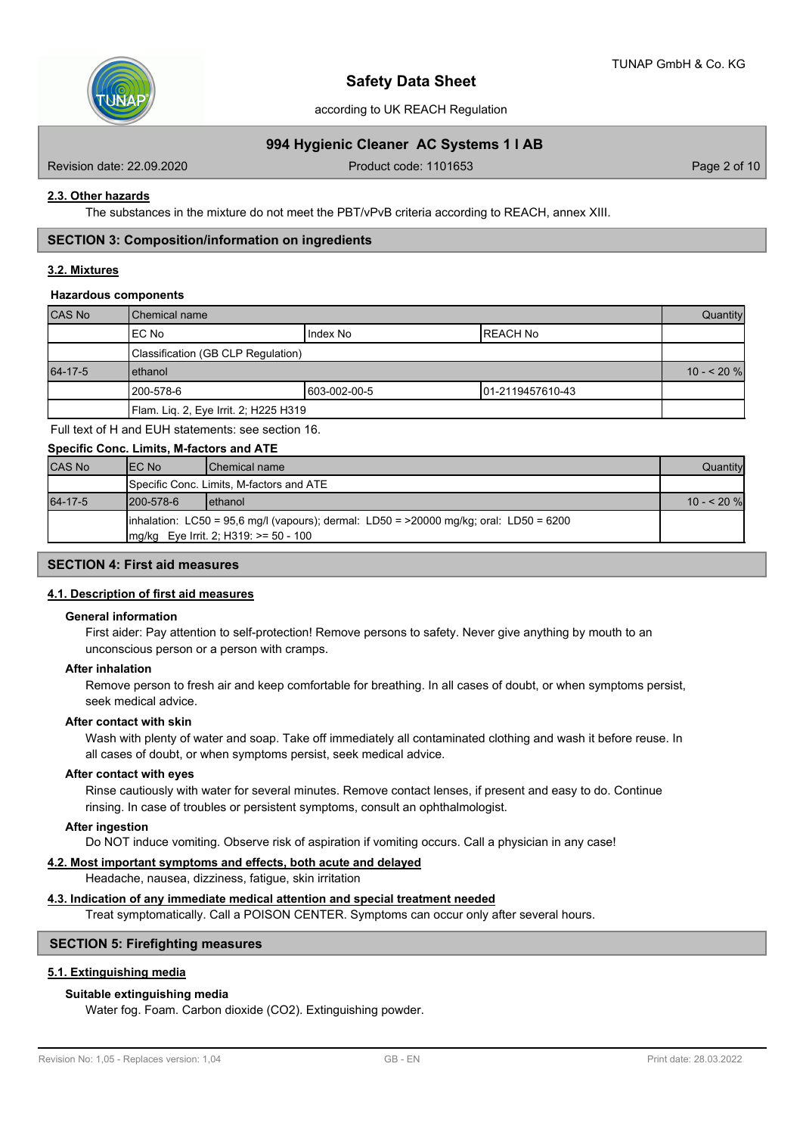

### according to UK REACH Regulation

# **994 Hygienic Cleaner AC Systems 1 l AB**

Revision date: 22.09.2020 Product code: 1101653 Page 2 of 10

#### **2.3. Other hazards**

The substances in the mixture do not meet the PBT/vPvB criteria according to REACH, annex XIII.

#### **SECTION 3: Composition/information on ingredients**

# **3.2. Mixtures**

#### **Hazardous components**

| <b>CAS No</b> | <b>I</b> Chemical name                |              |                  |  |  |  |
|---------------|---------------------------------------|--------------|------------------|--|--|--|
|               | IEC No<br><b>REACH No</b><br>Index No |              |                  |  |  |  |
|               | Classification (GB CLP Regulation)    |              |                  |  |  |  |
| 64-17-5       | lethanol                              |              |                  |  |  |  |
|               | 200-578-6                             | 603-002-00-5 | 01-2119457610-43 |  |  |  |
|               | Flam. Liq. 2, Eye Irrit. 2; H225 H319 |              |                  |  |  |  |

Full text of H and EUH statements: see section 16.

#### **Specific Conc. Limits, M-factors and ATE**

| <b>CAS No</b> | IEC No           | <b>IChemical name</b>                                                                                                                                | Quantity    |
|---------------|------------------|------------------------------------------------------------------------------------------------------------------------------------------------------|-------------|
|               |                  | Specific Conc. Limits, M-factors and ATE                                                                                                             |             |
| 64-17-5       | $1200 - 578 - 6$ | <b>lethanol</b>                                                                                                                                      | $10 - 20$ % |
|               |                  | $\lambda$ linhalation: LC50 = 95,6 mg/l (vapours); dermal: LD50 = >20000 mg/kg; oral: LD50 = 6200<br>$\text{Im}(kq)$ Eye Irrit. 2; H319: >= 50 - 100 |             |

# **SECTION 4: First aid measures**

#### **4.1. Description of first aid measures**

#### **General information**

First aider: Pay attention to self-protection! Remove persons to safety. Never give anything by mouth to an unconscious person or a person with cramps.

#### **After inhalation**

Remove person to fresh air and keep comfortable for breathing. In all cases of doubt, or when symptoms persist, seek medical advice.

#### **After contact with skin**

Wash with plenty of water and soap. Take off immediately all contaminated clothing and wash it before reuse. In all cases of doubt, or when symptoms persist, seek medical advice.

#### **After contact with eyes**

Rinse cautiously with water for several minutes. Remove contact lenses, if present and easy to do. Continue rinsing. In case of troubles or persistent symptoms, consult an ophthalmologist.

#### **After ingestion**

Do NOT induce vomiting. Observe risk of aspiration if vomiting occurs. Call a physician in any case!

#### **4.2. Most important symptoms and effects, both acute and delayed**

Headache, nausea, dizziness, fatigue, skin irritation

#### **4.3. Indication of any immediate medical attention and special treatment needed**

Treat symptomatically. Call a POISON CENTER. Symptoms can occur only after several hours.

# **SECTION 5: Firefighting measures**

# **5.1. Extinguishing media**

#### **Suitable extinguishing media**

Water fog. Foam. Carbon dioxide (CO2). Extinguishing powder.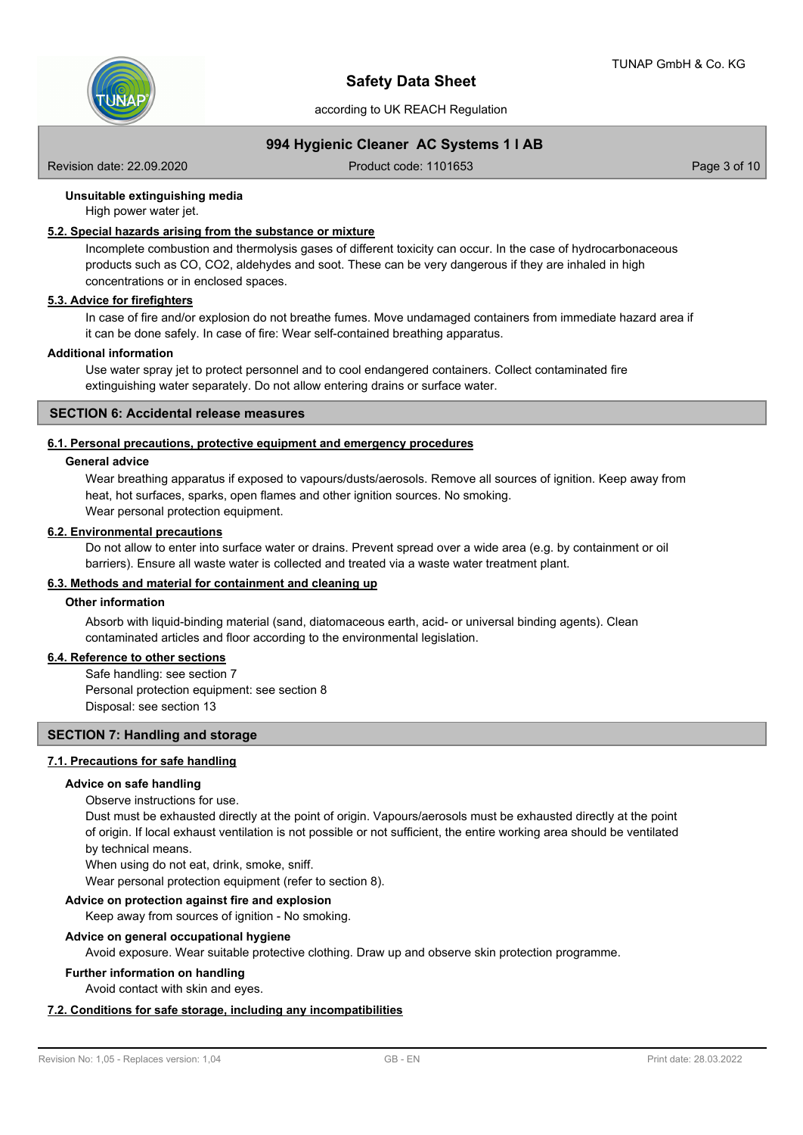

according to UK REACH Regulation

# **994 Hygienic Cleaner AC Systems 1 l AB**

Revision date: 22.09.2020 Product code: 1101653 Page 3 of 10

# **Unsuitable extinguishing media**

High power water jet.

# **5.2. Special hazards arising from the substance or mixture**

Incomplete combustion and thermolysis gases of different toxicity can occur. In the case of hydrocarbonaceous products such as CO, CO2, aldehydes and soot. These can be very dangerous if they are inhaled in high concentrations or in enclosed spaces.

# **5.3. Advice for firefighters**

In case of fire and/or explosion do not breathe fumes. Move undamaged containers from immediate hazard area if it can be done safely. In case of fire: Wear self-contained breathing apparatus.

#### **Additional information**

Use water spray jet to protect personnel and to cool endangered containers. Collect contaminated fire extinguishing water separately. Do not allow entering drains or surface water.

#### **SECTION 6: Accidental release measures**

# **6.1. Personal precautions, protective equipment and emergency procedures**

#### **General advice**

Wear breathing apparatus if exposed to vapours/dusts/aerosols. Remove all sources of ignition. Keep away from heat, hot surfaces, sparks, open flames and other ignition sources. No smoking. Wear personal protection equipment.

# **6.2. Environmental precautions**

Do not allow to enter into surface water or drains. Prevent spread over a wide area (e.g. by containment or oil barriers). Ensure all waste water is collected and treated via a waste water treatment plant.

# **6.3. Methods and material for containment and cleaning up**

#### **Other information**

Absorb with liquid-binding material (sand, diatomaceous earth, acid- or universal binding agents). Clean contaminated articles and floor according to the environmental legislation.

# **6.4. Reference to other sections**

Safe handling: see section 7 Personal protection equipment: see section 8 Disposal: see section 13

# **SECTION 7: Handling and storage**

#### **7.1. Precautions for safe handling**

#### **Advice on safe handling**

#### Observe instructions for use.

Dust must be exhausted directly at the point of origin. Vapours/aerosols must be exhausted directly at the point of origin. If local exhaust ventilation is not possible or not sufficient, the entire working area should be ventilated by technical means.

When using do not eat, drink, smoke, sniff.

Wear personal protection equipment (refer to section 8).

# **Advice on protection against fire and explosion**

Keep away from sources of ignition - No smoking.

#### **Advice on general occupational hygiene**

Avoid exposure. Wear suitable protective clothing. Draw up and observe skin protection programme.

#### **Further information on handling**

Avoid contact with skin and eyes.

# **7.2. Conditions for safe storage, including any incompatibilities**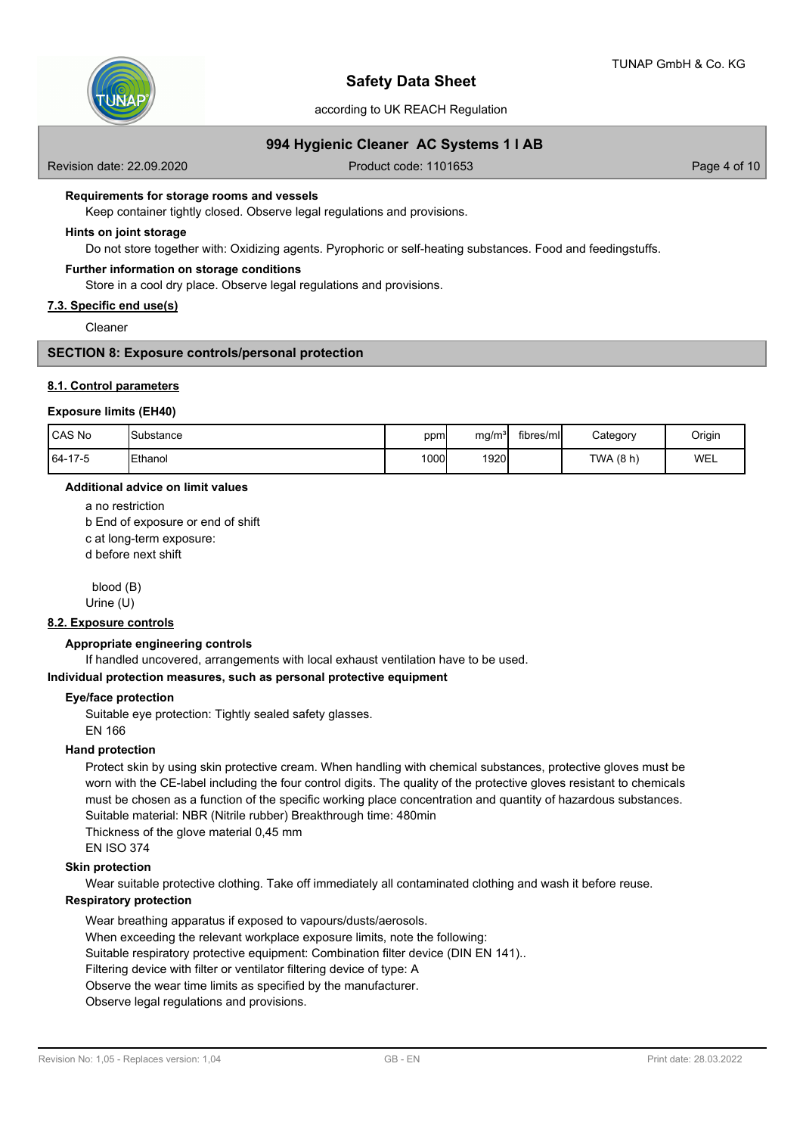

according to UK REACH Regulation

# **994 Hygienic Cleaner AC Systems 1 l AB**

Revision date: 22.09.2020 **Product code: 1101653** Page 4 of 10

#### **Requirements for storage rooms and vessels**

Keep container tightly closed. Observe legal regulations and provisions.

#### **Hints on joint storage**

Do not store together with: Oxidizing agents. Pyrophoric or self-heating substances. Food and feedingstuffs.

#### **Further information on storage conditions**

Store in a cool dry place. Observe legal regulations and provisions.

#### **7.3. Specific end use(s)**

Cleaner

# **SECTION 8: Exposure controls/personal protection**

#### **8.1. Control parameters**

#### **Exposure limits (EH40)**

| l CAS No | <b>I</b> Substance | ppm   | mq/m <sup>3</sup> | fibres/ml | Category    | Origin     |
|----------|--------------------|-------|-------------------|-----------|-------------|------------|
| 64-17-5  | <b>IEthanol</b>    | 1000l | 1920              |           | TWA $(8 h)$ | <b>WEL</b> |

#### **Additional advice on limit values**

a no restriction

b End of exposure or end of shift

c at long-term exposure:

d before next shift

 blood (B) Urine (U)

# **8.2. Exposure controls**

#### **Appropriate engineering controls**

If handled uncovered, arrangements with local exhaust ventilation have to be used.

# **Individual protection measures, such as personal protective equipment**

#### **Eye/face protection**

Suitable eye protection: Tightly sealed safety glasses.

EN 166

#### **Hand protection**

Protect skin by using skin protective cream. When handling with chemical substances, protective gloves must be worn with the CE-label including the four control digits. The quality of the protective gloves resistant to chemicals must be chosen as a function of the specific working place concentration and quantity of hazardous substances. Suitable material: NBR (Nitrile rubber) Breakthrough time: 480min

Thickness of the glove material 0,45 mm

EN ISO 374

#### **Skin protection**

Wear suitable protective clothing. Take off immediately all contaminated clothing and wash it before reuse.

# **Respiratory protection**

Wear breathing apparatus if exposed to vapours/dusts/aerosols.

When exceeding the relevant workplace exposure limits, note the following:

Suitable respiratory protective equipment: Combination filter device (DIN EN 141)..

Filtering device with filter or ventilator filtering device of type: A

Observe the wear time limits as specified by the manufacturer.

Observe legal regulations and provisions.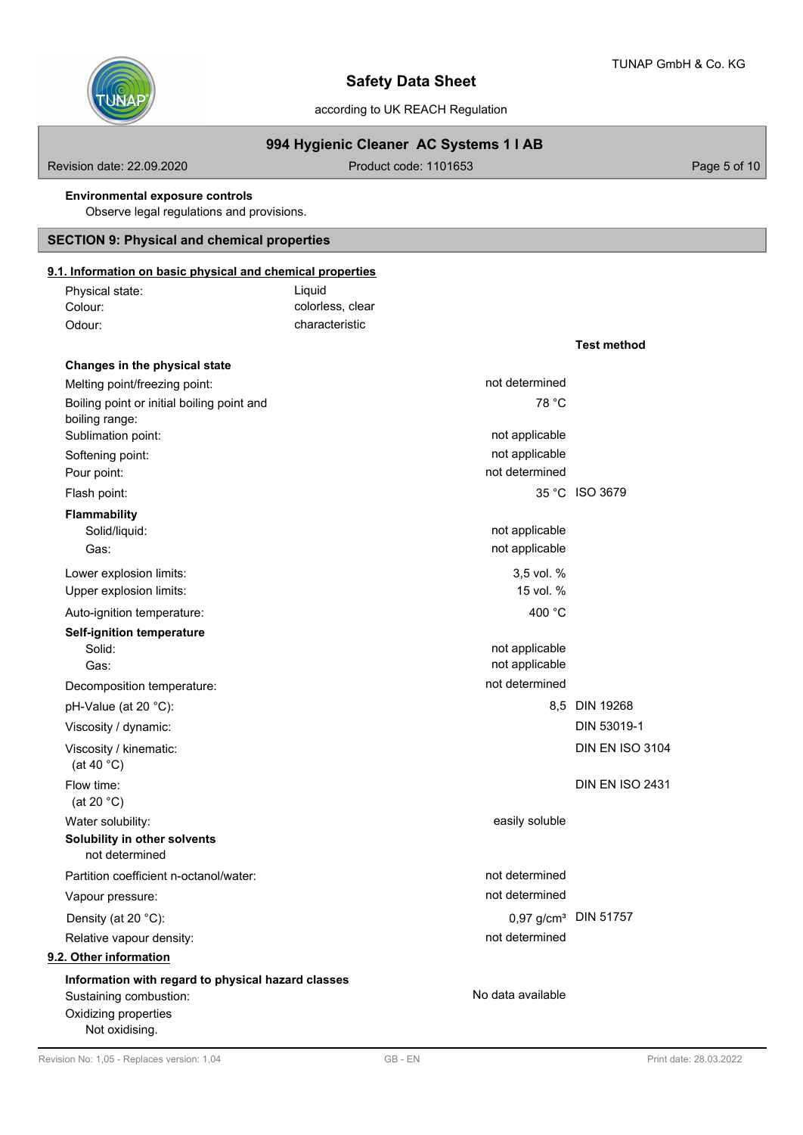**Test method**



# **Safety Data Sheet**

according to UK REACH Regulation

# **994 Hygienic Cleaner AC Systems 1 l AB**

Revision date: 22.09.2020 **Product code: 1101653** Product code: 1101653

#### **Environmental exposure controls**

Observe legal regulations and provisions.

# **SECTION 9: Physical and chemical properties**

# **9.1. Information on basic physical and chemical properties**

| Physical state: | Liauid           |
|-----------------|------------------|
| Colour:         | colorless, clear |
| Odour:          | characteristic   |

| Changes in the physical state                      |                   |                                  |
|----------------------------------------------------|-------------------|----------------------------------|
| Melting point/freezing point:                      | not determined    |                                  |
| Boiling point or initial boiling point and         | 78 °C             |                                  |
| boiling range:                                     |                   |                                  |
| Sublimation point:                                 | not applicable    |                                  |
| Softening point:                                   | not applicable    |                                  |
| Pour point:                                        | not determined    |                                  |
| Flash point:                                       |                   | 35 °C ISO 3679                   |
| <b>Flammability</b>                                |                   |                                  |
| Solid/liquid:                                      | not applicable    |                                  |
| Gas:                                               | not applicable    |                                  |
| Lower explosion limits:                            | 3,5 vol. %        |                                  |
| Upper explosion limits:                            | 15 vol. %         |                                  |
| Auto-ignition temperature:                         | 400 °C            |                                  |
| <b>Self-ignition temperature</b>                   |                   |                                  |
| Solid:                                             | not applicable    |                                  |
| Gas:                                               | not applicable    |                                  |
| Decomposition temperature:                         | not determined    |                                  |
| pH-Value (at 20 °C):                               |                   | 8,5 DIN 19268                    |
| Viscosity / dynamic:                               |                   | DIN 53019-1                      |
| Viscosity / kinematic:                             |                   | <b>DIN EN ISO 3104</b>           |
| (at 40 $^{\circ}$ C)                               |                   |                                  |
| Flow time:                                         |                   | DIN EN ISO 2431                  |
| (at 20 $°C$ )                                      |                   |                                  |
| Water solubility:                                  | easily soluble    |                                  |
| Solubility in other solvents                       |                   |                                  |
| not determined                                     |                   |                                  |
| Partition coefficient n-octanol/water:             | not determined    |                                  |
| Vapour pressure:                                   | not determined    |                                  |
| Density (at 20 °C):                                |                   | 0,97 g/cm <sup>3</sup> DIN 51757 |
| Relative vapour density:                           | not determined    |                                  |
| 9.2. Other information                             |                   |                                  |
| Information with regard to physical hazard classes |                   |                                  |
| Sustaining combustion:                             | No data available |                                  |
| Oxidizing properties                               |                   |                                  |
| Not oxidising.                                     |                   |                                  |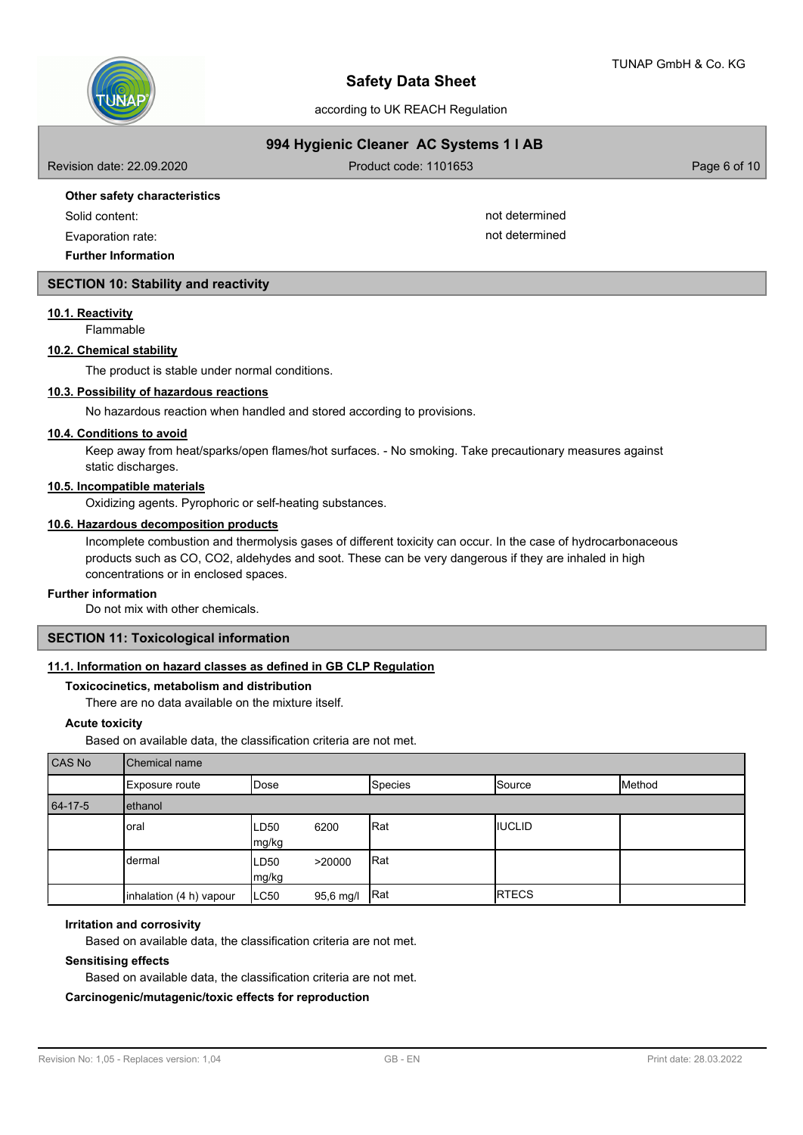

according to UK REACH Regulation

|  |  | 994 Hygienic Cleaner AC Systems 1 I AB |  |
|--|--|----------------------------------------|--|
|--|--|----------------------------------------|--|

| Revision date: 22.09.2020    | Product code: 1101653 | Page 6 of 10 $ $ |
|------------------------------|-----------------------|------------------|
| Other safety characteristics |                       |                  |
| Solid content:               | not determined        |                  |
| Evaporation rate:            | not determined        |                  |

**SECTION 10: Stability and reactivity**

#### **10.1. Reactivity**

Flammable

# **10.2. Chemical stability**

**Further Information**

The product is stable under normal conditions.

### **10.3. Possibility of hazardous reactions**

No hazardous reaction when handled and stored according to provisions.

#### **10.4. Conditions to avoid**

Keep away from heat/sparks/open flames/hot surfaces. - No smoking. Take precautionary measures against static discharges.

# **10.5. Incompatible materials**

Oxidizing agents. Pyrophoric or self-heating substances.

#### **10.6. Hazardous decomposition products**

Incomplete combustion and thermolysis gases of different toxicity can occur. In the case of hydrocarbonaceous products such as CO, CO2, aldehydes and soot. These can be very dangerous if they are inhaled in high concentrations or in enclosed spaces.

#### **Further information**

Do not mix with other chemicals.

# **SECTION 11: Toxicological information**

# **11.1. Information on hazard classes as defined in GB CLP Regulation**

#### **Toxicocinetics, metabolism and distribution**

There are no data available on the mixture itself.

#### **Acute toxicity**

Based on available data, the classification criteria are not met.

| CAS No  | <b>Chemical name</b>    |                |           |                |               |        |  |  |
|---------|-------------------------|----------------|-----------|----------------|---------------|--------|--|--|
|         | Exposure route          | <b>I</b> Dose  |           | <b>Species</b> | Source        | Method |  |  |
| 64-17-5 | ethanol                 |                |           |                |               |        |  |  |
|         | oral                    | ILD50<br>mg/kg | 6200      | Rat            | <b>IUCLID</b> |        |  |  |
|         | dermal                  | LD50<br>mg/kg  | >20000    | Rat            |               |        |  |  |
|         | inhalation (4 h) vapour | LC50           | 95,6 mg/l | Rat            | <b>RTECS</b>  |        |  |  |

#### **Irritation and corrosivity**

Based on available data, the classification criteria are not met.

#### **Sensitising effects**

Based on available data, the classification criteria are not met.

# **Carcinogenic/mutagenic/toxic effects for reproduction**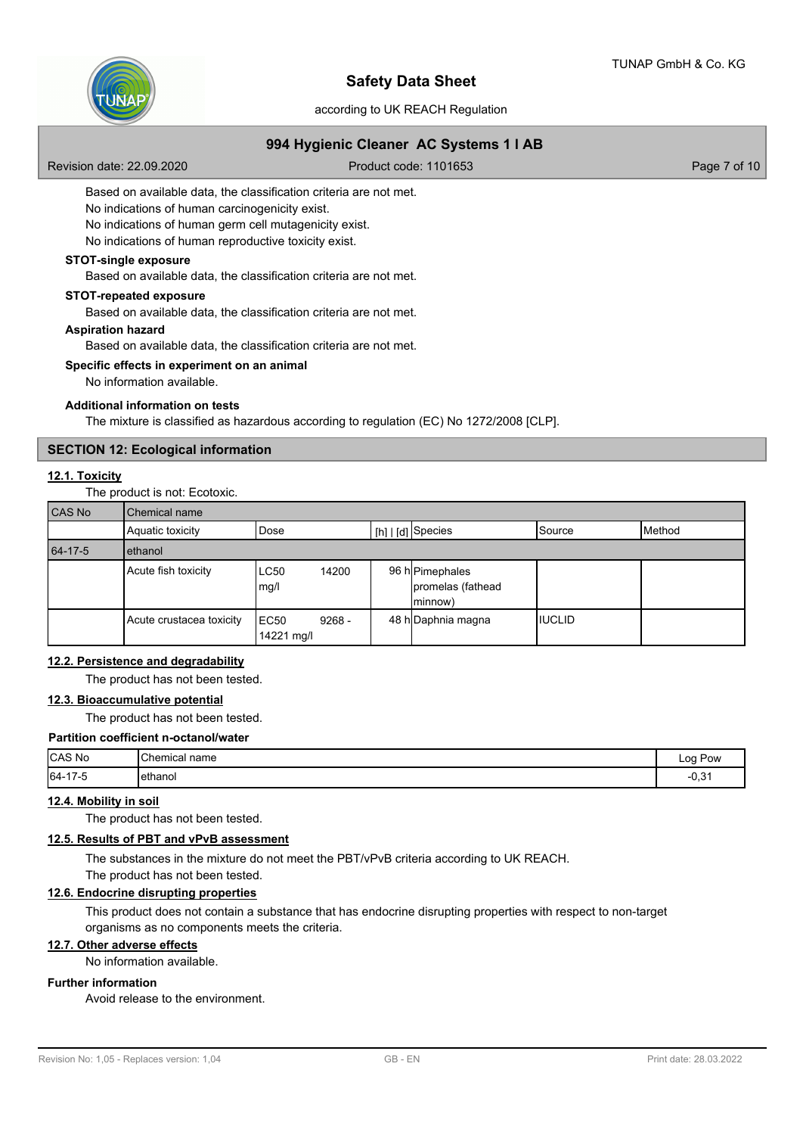

according to UK REACH Regulation

# **994 Hygienic Cleaner AC Systems 1 l AB**

Revision date: 22.09.2020 **Product code: 1101653** Page 7 of 10

Based on available data, the classification criteria are not met.

No indications of human carcinogenicity exist.

No indications of human germ cell mutagenicity exist.

No indications of human reproductive toxicity exist.

# **STOT-single exposure**

Based on available data, the classification criteria are not met.

#### **STOT-repeated exposure**

Based on available data, the classification criteria are not met.

#### **Aspiration hazard**

Based on available data, the classification criteria are not met.

#### **Specific effects in experiment on an animal**

No information available.

#### **Additional information on tests**

The mixture is classified as hazardous according to regulation (EC) No 1272/2008 [CLP].

# **SECTION 12: Ecological information**

# **12.1. Toxicity**

The product is not: Ecotoxic.

| <b>CAS No</b> | Chemical name            |                     |          |  |                                                 |                |               |  |  |
|---------------|--------------------------|---------------------|----------|--|-------------------------------------------------|----------------|---------------|--|--|
|               | Aquatic toxicity         | Dose                |          |  | $\lfloor h \rfloor$ $\lfloor d \rfloor$ Species | ISource        | <b>Method</b> |  |  |
| 64-17-5       | ethanol                  |                     |          |  |                                                 |                |               |  |  |
|               | Acute fish toxicity      | <b>LC50</b><br>mg/l | 14200    |  | 96 h Pimephales<br>promelas (fathead<br>minnow) |                |               |  |  |
|               | Acute crustacea toxicity | EC50<br>14221 mg/l  | $9268 -$ |  | 48 h Daphnia magna                              | <b>IIUCLID</b> |               |  |  |

# **12.2. Persistence and degradability**

The product has not been tested.

#### **12.3. Bioaccumulative potential**

The product has not been tested.

#### **Partition coefficient n-octanol/water**

| CAS No  | Chemical name | Pow<br>Log<br>-- 0    |
|---------|---------------|-----------------------|
| 64-17-5 | lethanol      | $\sim$ $\sim$<br>-u.o |

# **12.4. Mobility in soil**

The product has not been tested.

# **12.5. Results of PBT and vPvB assessment**

The substances in the mixture do not meet the PBT/vPvB criteria according to UK REACH.

# The product has not been tested.

# **12.6. Endocrine disrupting properties**

This product does not contain a substance that has endocrine disrupting properties with respect to non-target organisms as no components meets the criteria.

# **12.7. Other adverse effects**

No information available.

# **Further information**

Avoid release to the environment.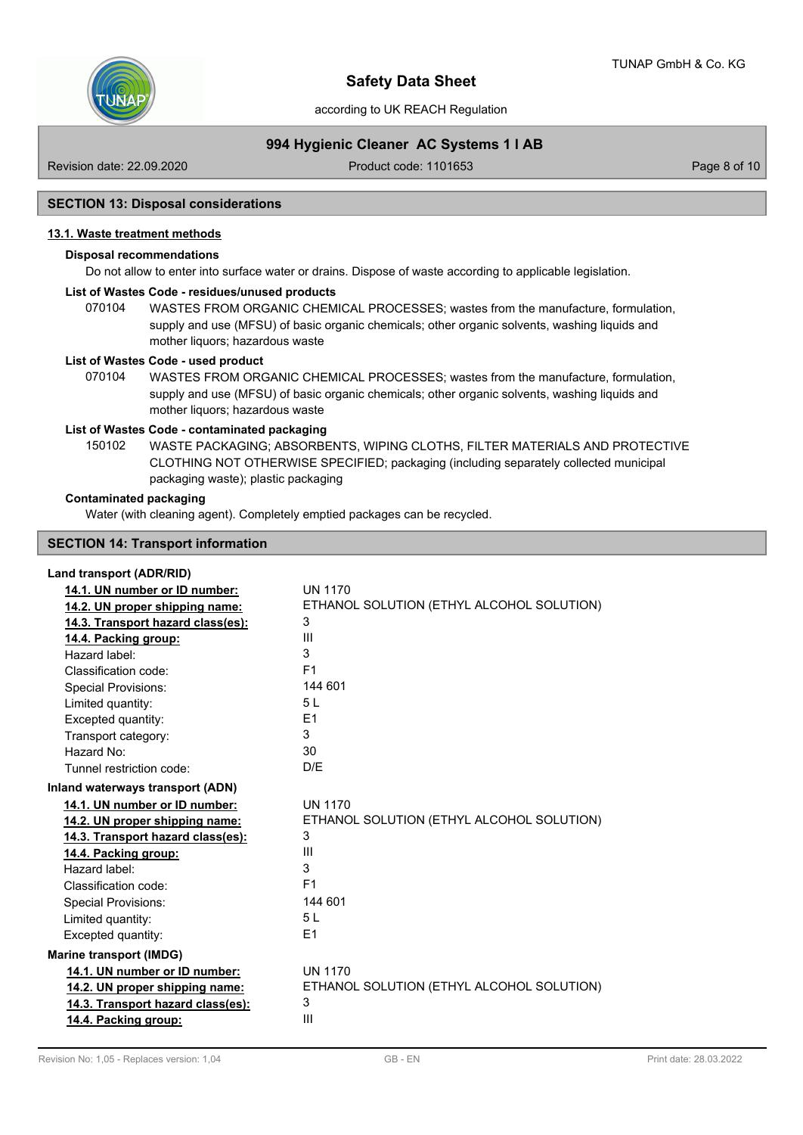

according to UK REACH Regulation

# **994 Hygienic Cleaner AC Systems 1 l AB**

Revision date: 22.09.2020 Product code: 1101653 Page 8 of 10

#### **SECTION 13: Disposal considerations**

# **13.1. Waste treatment methods**

# **Disposal recommendations**

Do not allow to enter into surface water or drains. Dispose of waste according to applicable legislation.

#### **List of Wastes Code - residues/unused products**

070104 WASTES FROM ORGANIC CHEMICAL PROCESSES; wastes from the manufacture, formulation, supply and use (MFSU) of basic organic chemicals; other organic solvents, washing liquids and mother liquors; hazardous waste

#### **List of Wastes Code - used product**

WASTES FROM ORGANIC CHEMICAL PROCESSES; wastes from the manufacture, formulation, supply and use (MFSU) of basic organic chemicals; other organic solvents, washing liquids and mother liquors; hazardous waste 070104

#### **List of Wastes Code - contaminated packaging**

WASTE PACKAGING; ABSORBENTS, WIPING CLOTHS, FILTER MATERIALS AND PROTECTIVE CLOTHING NOT OTHERWISE SPECIFIED; packaging (including separately collected municipal packaging waste); plastic packaging 150102

#### **Contaminated packaging**

Water (with cleaning agent). Completely emptied packages can be recycled.

#### **SECTION 14: Transport information**

### **Land transport (ADR/RID)**

| 14.1. UN number or ID number:     | <b>UN 1170</b>                            |
|-----------------------------------|-------------------------------------------|
| 14.2. UN proper shipping name:    | ETHANOL SOLUTION (ETHYL ALCOHOL SOLUTION) |
| 14.3. Transport hazard class(es): | 3                                         |
| 14.4. Packing group:              | Ш                                         |
| Hazard label:                     | 3                                         |
| Classification code:              | F <sub>1</sub>                            |
| <b>Special Provisions:</b>        | 144 601                                   |
| Limited quantity:                 | 5L                                        |
| Excepted quantity:                | E1                                        |
| Transport category:               | 3                                         |
| Hazard No:                        | 30                                        |
| Tunnel restriction code:          | D/E                                       |
| Inland waterways transport (ADN)  |                                           |
| 14.1. UN number or ID number:     | <b>UN 1170</b>                            |
| 14.2. UN proper shipping name:    | ETHANOL SOLUTION (ETHYL ALCOHOL SOLUTION) |
| 14.3. Transport hazard class(es): | 3                                         |
| 14.4. Packing group:              | Ш                                         |
| Hazard label:                     | 3                                         |
| Classification code:              | F <sub>1</sub>                            |
| <b>Special Provisions:</b>        | 144 601                                   |
| Limited quantity:                 | 5L                                        |
| Excepted quantity:                | F <sub>1</sub>                            |
| <b>Marine transport (IMDG)</b>    |                                           |
| 14.1. UN number or ID number:     | <b>UN 1170</b>                            |
| 14.2. UN proper shipping name:    | ETHANOL SOLUTION (ETHYL ALCOHOL SOLUTION) |
| 14.3. Transport hazard class(es): | 3                                         |
| 14.4. Packing group:              | Ш                                         |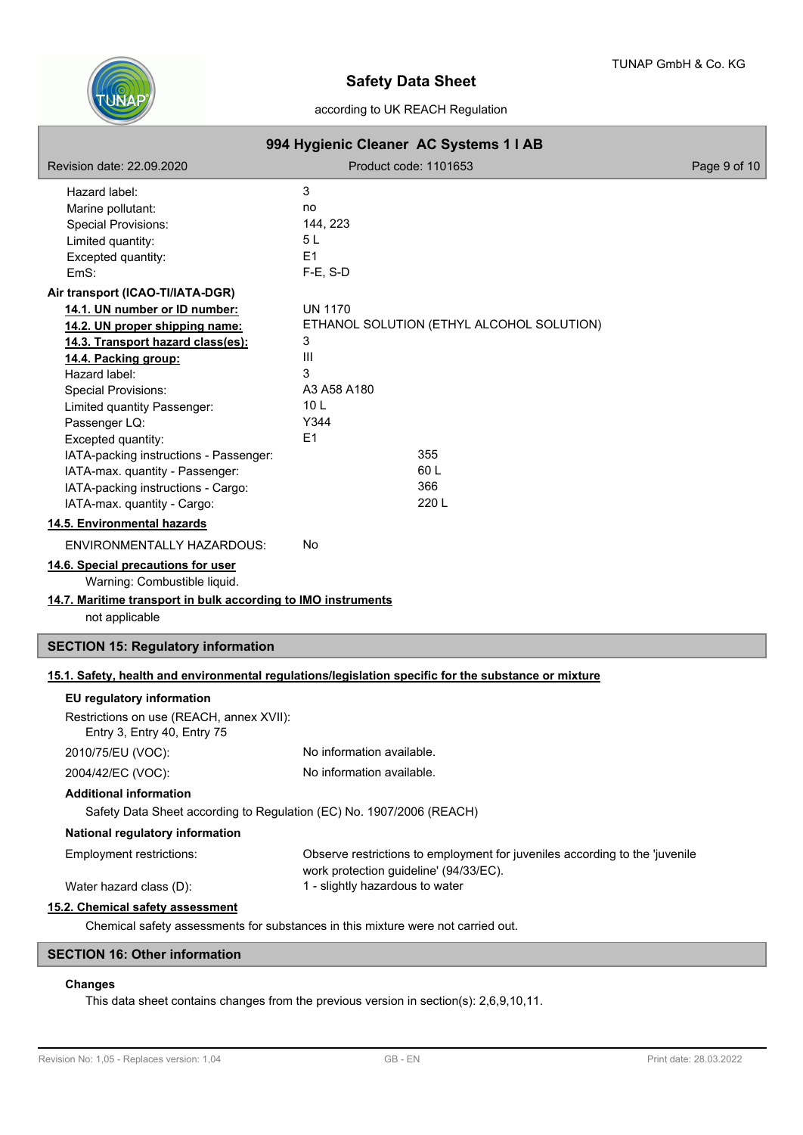

# according to UK REACH Regulation

| 994 Hygienic Cleaner AC Systems 1   AB                                                                                                                                                                                                                                                                                                                                                              |                                                                                                                                                          |              |
|-----------------------------------------------------------------------------------------------------------------------------------------------------------------------------------------------------------------------------------------------------------------------------------------------------------------------------------------------------------------------------------------------------|----------------------------------------------------------------------------------------------------------------------------------------------------------|--------------|
| Revision date: 22.09.2020                                                                                                                                                                                                                                                                                                                                                                           | Product code: 1101653                                                                                                                                    | Page 9 of 10 |
| Hazard label:<br>Marine pollutant:<br>Special Provisions:<br>Limited quantity:<br>Excepted quantity:<br>EmS:                                                                                                                                                                                                                                                                                        | 3<br>no<br>144, 223<br>5 <sub>L</sub><br>E1<br>$F-E$ , S-D                                                                                               |              |
| Air transport (ICAO-TI/IATA-DGR)                                                                                                                                                                                                                                                                                                                                                                    |                                                                                                                                                          |              |
| 14.1. UN number or ID number:<br>14.2. UN proper shipping name:<br>14.3. Transport hazard class(es):<br>14.4. Packing group:<br>Hazard label:<br><b>Special Provisions:</b><br>Limited quantity Passenger:<br>Passenger LQ:<br>Excepted quantity:<br>IATA-packing instructions - Passenger:<br>IATA-max. quantity - Passenger:<br>IATA-packing instructions - Cargo:<br>IATA-max. quantity - Cargo: | <b>UN 1170</b><br>ETHANOL SOLUTION (ETHYL ALCOHOL SOLUTION)<br>3<br>Ш<br>3<br>A3 A58 A180<br>10 <sub>L</sub><br>Y344<br>E1<br>355<br>60L<br>366<br>220 L |              |
| 14.5. Environmental hazards                                                                                                                                                                                                                                                                                                                                                                         |                                                                                                                                                          |              |
| ENVIRONMENTALLY HAZARDOUS:                                                                                                                                                                                                                                                                                                                                                                          | No                                                                                                                                                       |              |
| 14.6. Special precautions for user<br>Warning: Combustible liquid.<br>14.7. Maritime transport in bulk according to IMO instruments<br>not applicable                                                                                                                                                                                                                                               |                                                                                                                                                          |              |
| <b>SECTION 15: Regulatory information</b>                                                                                                                                                                                                                                                                                                                                                           |                                                                                                                                                          |              |
|                                                                                                                                                                                                                                                                                                                                                                                                     | 15.1. Safety, health and environmental regulations/legislation specific for the substance or mixture                                                     |              |
| EU regulatory information<br>Restrictions on use (REACH, annex XVII):<br>Entry 3, Entry 40, Entry 75                                                                                                                                                                                                                                                                                                |                                                                                                                                                          |              |
| 2010/75/EU (VOC):                                                                                                                                                                                                                                                                                                                                                                                   | No information available.                                                                                                                                |              |
| 2004/42/EC (VOC):<br><b>Additional information</b><br>Safety Data Sheet according to Regulation (EC) No. 1907/2006 (REACH)                                                                                                                                                                                                                                                                          | No information available.                                                                                                                                |              |
| National regulatory information                                                                                                                                                                                                                                                                                                                                                                     |                                                                                                                                                          |              |
| Employment restrictions:<br>Water hazard class (D):                                                                                                                                                                                                                                                                                                                                                 | Observe restrictions to employment for juveniles according to the 'juvenile<br>work protection guideline' (94/33/EC).<br>1 - slightly hazardous to water |              |
| 15.2. Chemical safety assessment                                                                                                                                                                                                                                                                                                                                                                    |                                                                                                                                                          |              |
| Chemical safety assessments for substances in this mixture were not carried out.                                                                                                                                                                                                                                                                                                                    |                                                                                                                                                          |              |
| <b>SECTION 16: Other information</b>                                                                                                                                                                                                                                                                                                                                                                |                                                                                                                                                          |              |

# **Changes**

I

This data sheet contains changes from the previous version in section(s): 2,6,9,10,11.